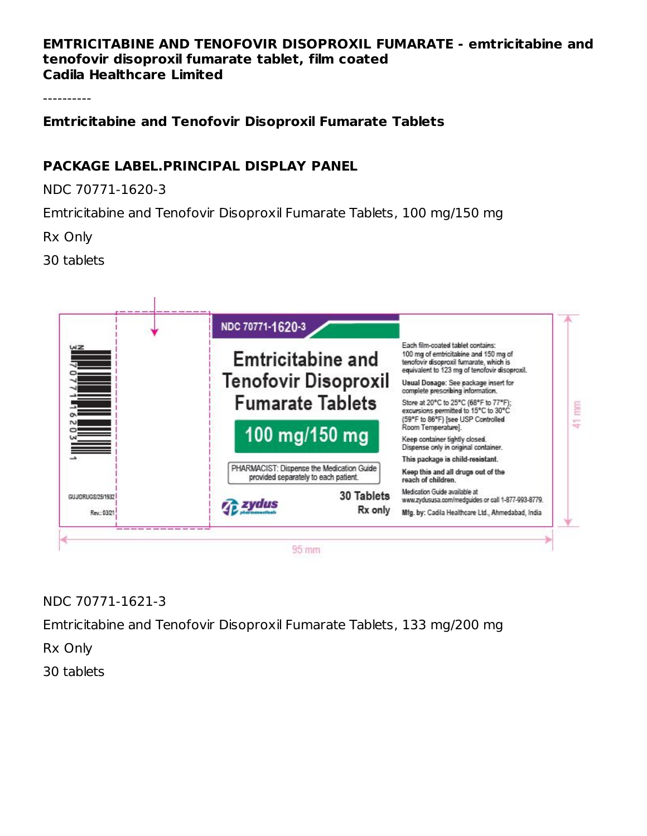#### **EMTRICITABINE AND TENOFOVIR DISOPROXIL FUMARATE - emtricitabine and tenofovir disoproxil fumarate tablet, film coated Cadila Healthcare Limited**

----------

**Emtricitabine and Tenofovir Disoproxil Fumarate Tablets**

### **PACKAGE LABEL.PRINCIPAL DISPLAY PANEL**

NDC 70771-1620-3

Emtricitabine and Tenofovir Disoproxil Fumarate Tablets, 100 mg/150 mg

Rx Only

30 tablets



NDC 70771-1621-3

Emtricitabine and Tenofovir Disoproxil Fumarate Tablets, 133 mg/200 mg

Rx Only

30 tablets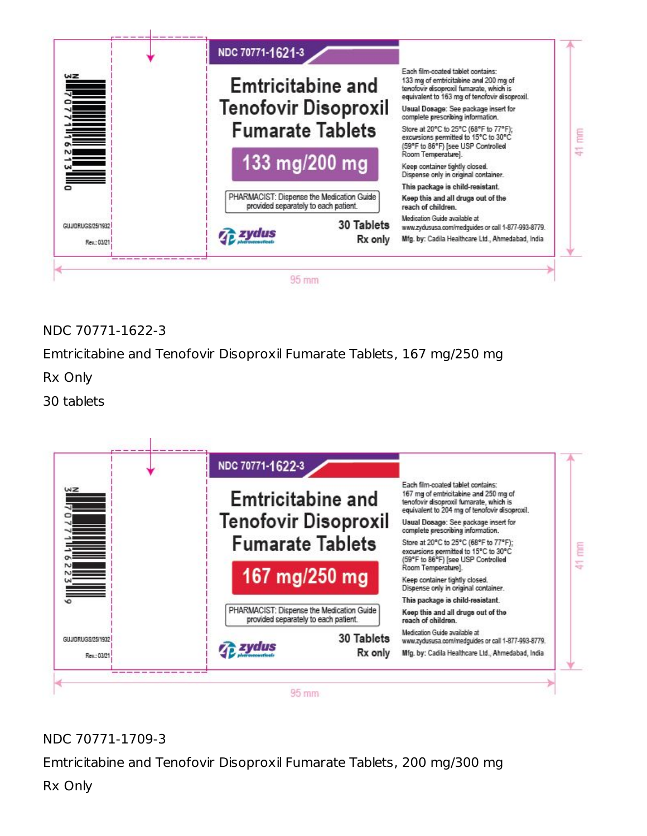

NDC 70771-1622-3

Emtricitabine and Tenofovir Disoproxil Fumarate Tablets, 167 mg/250 mg

Rx Only

30 tablets



## NDC 70771-1709-3

Emtricitabine and Tenofovir Disoproxil Fumarate Tablets, 200 mg/300 mg

Rx Only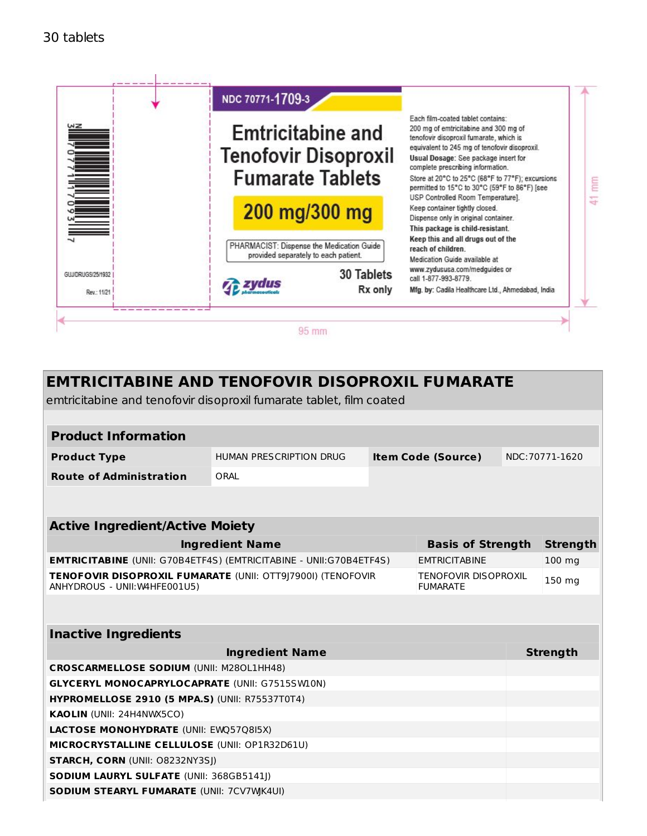

| <b>EMTRICITABINE AND TENOFOVIR DISOPROXIL FUMARATE</b><br>emtricitabine and tenofovir disoproxil fumarate tablet, film coated                  |                                |  |                           |        |                 |
|------------------------------------------------------------------------------------------------------------------------------------------------|--------------------------------|--|---------------------------|--------|-----------------|
|                                                                                                                                                |                                |  |                           |        |                 |
| <b>Product Information</b>                                                                                                                     |                                |  |                           |        |                 |
| <b>Product Type</b>                                                                                                                            | <b>HUMAN PRESCRIPTION DRUG</b> |  | <b>Item Code (Source)</b> |        | NDC: 70771-1620 |
| <b>Route of Administration</b>                                                                                                                 | ORAL                           |  |                           |        |                 |
|                                                                                                                                                |                                |  |                           |        |                 |
|                                                                                                                                                |                                |  |                           |        |                 |
| <b>Active Ingredient/Active Moiety</b>                                                                                                         |                                |  |                           |        |                 |
| <b>Ingredient Name</b><br><b>Basis of Strength</b>                                                                                             |                                |  |                           |        | <b>Strength</b> |
| <b>EMTRICITABINE</b> (UNII: G70B4ETF4S) (EMTRICITABINE - UNII:G70B4ETF4S)<br><b>EMTRICITABINE</b>                                              |                                |  |                           |        | 100 mg          |
| TENOFOVIR DISOPROXIL FUMARATE (UNII: OTT9J7900I) (TENOFOVIR<br><b>TENOFOVIR DISOPROXIL</b><br>ANHYDROUS - UNII: W4HFE001U5)<br><b>FUMARATE</b> |                                |  |                           | 150 mg |                 |
|                                                                                                                                                |                                |  |                           |        |                 |
| <b>Inactive Ingredients</b>                                                                                                                    |                                |  |                           |        |                 |
|                                                                                                                                                | <b>Ingredient Name</b>         |  |                           |        | <b>Strength</b> |
| <b>CROSCARMELLOSE SODIUM (UNII: M280L1HH48)</b>                                                                                                |                                |  |                           |        |                 |
| <b>GLYCERYL MONOCAPRYLOCAPRATE (UNII: G7515SW10N)</b>                                                                                          |                                |  |                           |        |                 |
| <b>HYPROMELLOSE 2910 (5 MPA.S) (UNII: R75537T0T4)</b>                                                                                          |                                |  |                           |        |                 |
| KAOLIN (UNII: 24H4NWX5CO)                                                                                                                      |                                |  |                           |        |                 |
| <b>LACTOSE MONOHYDRATE (UNII: EWQ57Q8I5X)</b>                                                                                                  |                                |  |                           |        |                 |
| MICROCRYSTALLINE CELLULOSE (UNII: OP1R32D61U)                                                                                                  |                                |  |                           |        |                 |
| <b>STARCH, CORN (UNII: O8232NY3SJ)</b>                                                                                                         |                                |  |                           |        |                 |
| SODIUM LAURYL SULFATE (UNII: 368GB5141J)                                                                                                       |                                |  |                           |        |                 |

**SODIUM STEARYL FUMARATE** (UNII: 7CV7WJK4UI)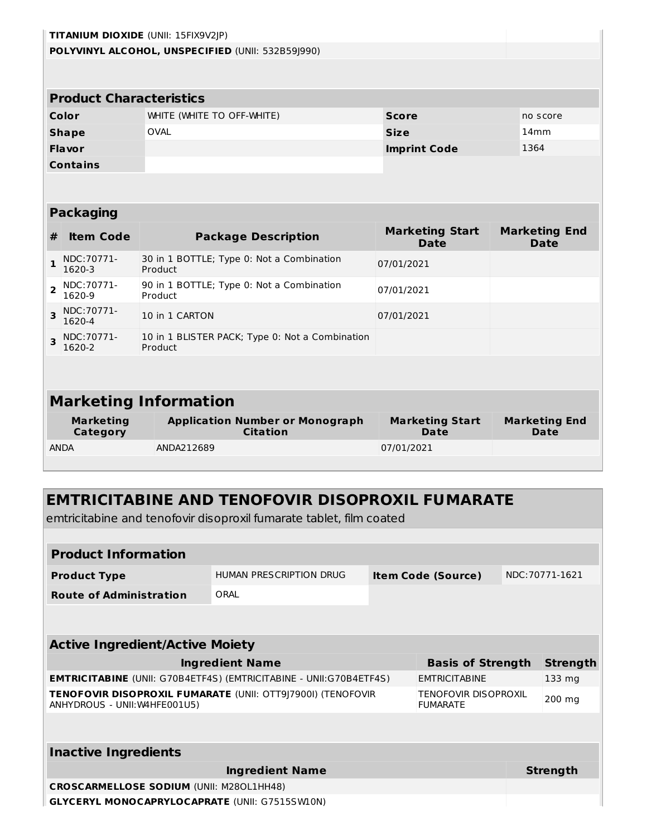|                | TITANIUM DIOXIDE (UNII: 15FIX9V2JP) |                                                            |                                       |                                     |  |  |
|----------------|-------------------------------------|------------------------------------------------------------|---------------------------------------|-------------------------------------|--|--|
|                |                                     | POLYVINYL ALCOHOL, UNSPECIFIED (UNII: 532B59J990)          |                                       |                                     |  |  |
|                |                                     |                                                            |                                       |                                     |  |  |
|                | <b>Product Characteristics</b>      |                                                            |                                       |                                     |  |  |
|                | Color                               | WHITE (WHITE TO OFF-WHITE)                                 | <b>Score</b>                          | no score                            |  |  |
|                | <b>Shape</b>                        | <b>OVAL</b>                                                | <b>Size</b>                           | 14mm                                |  |  |
|                | <b>Flavor</b>                       |                                                            | <b>Imprint Code</b>                   | 1364                                |  |  |
|                | <b>Contains</b>                     |                                                            |                                       |                                     |  |  |
|                |                                     |                                                            |                                       |                                     |  |  |
|                |                                     |                                                            |                                       |                                     |  |  |
|                | <b>Packaging</b>                    |                                                            |                                       |                                     |  |  |
| #              | <b>Item Code</b>                    | <b>Package Description</b>                                 | <b>Marketing Start</b><br><b>Date</b> | <b>Marketing End</b><br><b>Date</b> |  |  |
| $\mathbf{1}$   | NDC: 70771-<br>1620-3               | 30 in 1 BOTTLE; Type 0: Not a Combination<br>Product       | 07/01/2021                            |                                     |  |  |
| $\overline{2}$ | NDC:70771-<br>1620-9                | 90 in 1 BOTTLE; Type 0: Not a Combination<br>Product       | 07/01/2021                            |                                     |  |  |
| 3              | NDC:70771-<br>1620-4                | 10 in 1 CARTON                                             | 07/01/2021                            |                                     |  |  |
| 3              | NDC: 70771-<br>1620-2               | 10 in 1 BLISTER PACK; Type 0: Not a Combination<br>Product |                                       |                                     |  |  |
|                |                                     |                                                            |                                       |                                     |  |  |
|                |                                     |                                                            |                                       |                                     |  |  |
|                |                                     | <b>Marketing Information</b>                               |                                       |                                     |  |  |
|                | <b>Marketing</b><br>Category        | <b>Application Number or Monograph</b><br><b>Citation</b>  | <b>Marketing Start</b><br><b>Date</b> | <b>Marketing End</b><br><b>Date</b> |  |  |
|                | <b>ANDA</b>                         | ANDA212689                                                 | 07/01/2021                            |                                     |  |  |
|                |                                     |                                                            |                                       |                                     |  |  |
|                |                                     |                                                            |                                       |                                     |  |  |
|                |                                     | <b>EMTRICITABINE AND TENOFOVIR DISOPROXIL FUMARATE</b>     |                                       |                                     |  |  |

emtricitabine and tenofovir disoproxil fumarate tablet, film coated

| <b>Product Information</b>                                                                          |                         |  |                                         |          |                 |  |
|-----------------------------------------------------------------------------------------------------|-------------------------|--|-----------------------------------------|----------|-----------------|--|
| <b>Product Type</b>                                                                                 | HUMAN PRESCRIPTION DRUG |  | <b>Item Code (Source)</b>               |          | NDC: 70771-1621 |  |
| <b>Route of Administration</b>                                                                      | ORAL                    |  |                                         |          |                 |  |
|                                                                                                     |                         |  |                                         |          |                 |  |
|                                                                                                     |                         |  |                                         |          |                 |  |
| <b>Active Ingredient/Active Moiety</b>                                                              |                         |  |                                         |          |                 |  |
| <b>Ingredient Name</b><br><b>Basis of Strength</b>                                                  |                         |  |                                         |          | <b>Strength</b> |  |
| <b>EMTRICITABINE</b> (UNII: G70B4ETF4S) (EMTRICITABINE - UNII:G70B4ETF4S)                           |                         |  | <b>EMTRICITABINE</b>                    |          | 133 mg          |  |
| <b>TENOFOVIR DISOPROXIL FUMARATE (UNII: OTT9 7900I) (TENOFOVIR</b><br>ANHYDROUS - UNII: W4HFE001U5) |                         |  | TENOFOVIR DISOPROXIL<br><b>FUMARATE</b> |          | $200$ mg        |  |
|                                                                                                     |                         |  |                                         |          |                 |  |
|                                                                                                     |                         |  |                                         |          |                 |  |
| <b>Inactive Ingredients</b>                                                                         |                         |  |                                         |          |                 |  |
| <b>Ingredient Name</b>                                                                              |                         |  |                                         | Strength |                 |  |
| <b>CROSCARMELLOSE SODIUM (UNII: M280L1HH48)</b>                                                     |                         |  |                                         |          |                 |  |
| <b>GLYCERYL MONOCAPRYLOCAPRATE (UNII: G7515SW10N)</b>                                               |                         |  |                                         |          |                 |  |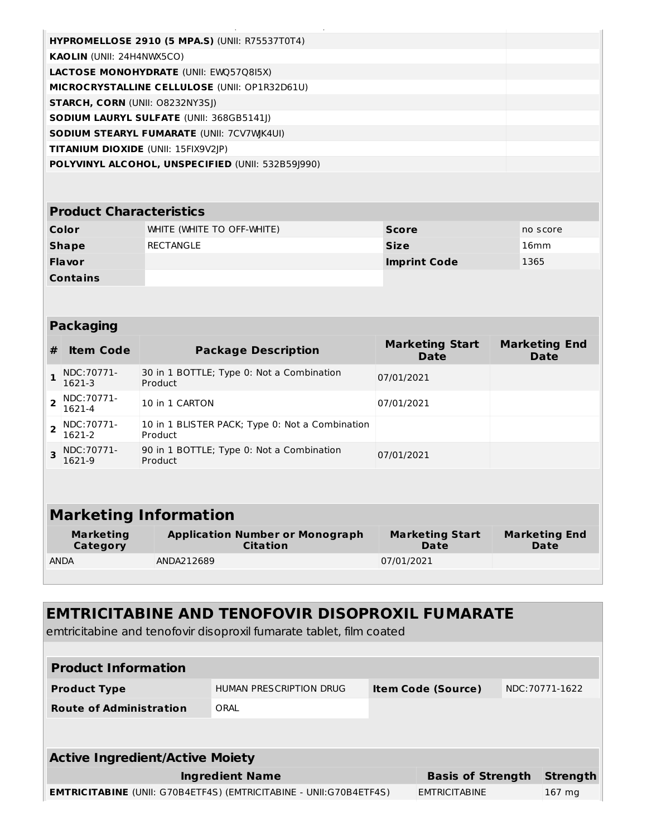| <b>HYPROMELLOSE 2910 (5 MPA.S) (UNII: R75537T0T4)</b> |  |
|-------------------------------------------------------|--|
| <b>KAOLIN</b> (UNII: 24H4NWX5CO)                      |  |
| <b>LACTOSE MONOHYDRATE (UNII: EWQ57Q8I5X)</b>         |  |
| <b>MICROCRYSTALLINE CELLULOSE (UNII: OP1R32D61U)</b>  |  |
| <b>STARCH, CORN (UNII: 08232NY3SI)</b>                |  |
| <b>SODIUM LAURYL SULFATE (UNII: 368GB5141))</b>       |  |
| <b>SODIUM STEARYL FUMARATE (UNII: 7CV7WK4UI)</b>      |  |
| <b>TITANIUM DIOXIDE</b> (UNII: 15FIX9V2JP)            |  |
| POLYVINYL ALCOHOL, UNSPECIFIED (UNII: 532B59J990)     |  |
|                                                       |  |

#### **Product Characteristics**

| Color           | WHITE (WHITE TO OFF-WHITE) | <b>Score</b>        | no score |
|-----------------|----------------------------|---------------------|----------|
| <b>Shape</b>    | RECTANGLE                  | <b>Size</b>         | 16mm     |
| <b>Flavor</b>   |                            | <b>Imprint Code</b> | 1365     |
| <b>Contains</b> |                            |                     |          |

#### **Packaging**

| # | <b>Item Code</b>             | <b>Package Description</b>                                 | <b>Marketing Start</b><br>Date | <b>Marketing End</b><br><b>Date</b> |  |
|---|------------------------------|------------------------------------------------------------|--------------------------------|-------------------------------------|--|
|   | NDC: 70771-<br>1621-3        | 30 in 1 BOTTLE; Type 0: Not a Combination<br>Product       | 07/01/2021                     |                                     |  |
|   | NDC: 70771-<br>1621-4        | 10 in 1 CARTON                                             | 07/01/2021                     |                                     |  |
|   | NDC:70771-<br>1621-2         | 10 in 1 BLISTER PACK; Type 0: Not a Combination<br>Product |                                |                                     |  |
| 3 | NDC:70771-<br>1621-9         | 90 in 1 BOTTLE; Type 0: Not a Combination<br>Product       | 07/01/2021                     |                                     |  |
|   |                              |                                                            |                                |                                     |  |
|   | <b>Marketing Information</b> |                                                            |                                |                                     |  |

| Marketing   | <b>Application Number or Monograph</b> | <b>Marketing Start</b> | <b>Marketing End</b> |
|-------------|----------------------------------------|------------------------|----------------------|
| Category    | Citation                               | Date                   | Date                 |
| <b>ANDA</b> | ANDA212689                             | 07/01/2021             |                      |

## **EMTRICITABINE AND TENOFOVIR DISOPROXIL FUMARATE**

emtricitabine and tenofovir disoproxil fumarate tablet, film coated

| <b>Product Information</b>                                                |                         |                           |                 |
|---------------------------------------------------------------------------|-------------------------|---------------------------|-----------------|
| <b>Product Type</b>                                                       | HUMAN PRESCRIPTION DRUG | <b>Item Code (Source)</b> | NDC: 70771-1622 |
| <b>Route of Administration</b>                                            | ORAL                    |                           |                 |
|                                                                           |                         |                           |                 |
| <b>Active Ingredient/Active Moiety</b>                                    |                         |                           |                 |
|                                                                           | <b>Ingredient Name</b>  | <b>Basis of Strength</b>  | <b>Strength</b> |
| <b>EMTRICITABINE</b> (UNII: G70B4ETF4S) (EMTRICITABINE - UNII:G70B4ETF4S) |                         | <b>EMTRICITABINE</b>      | 167 mg          |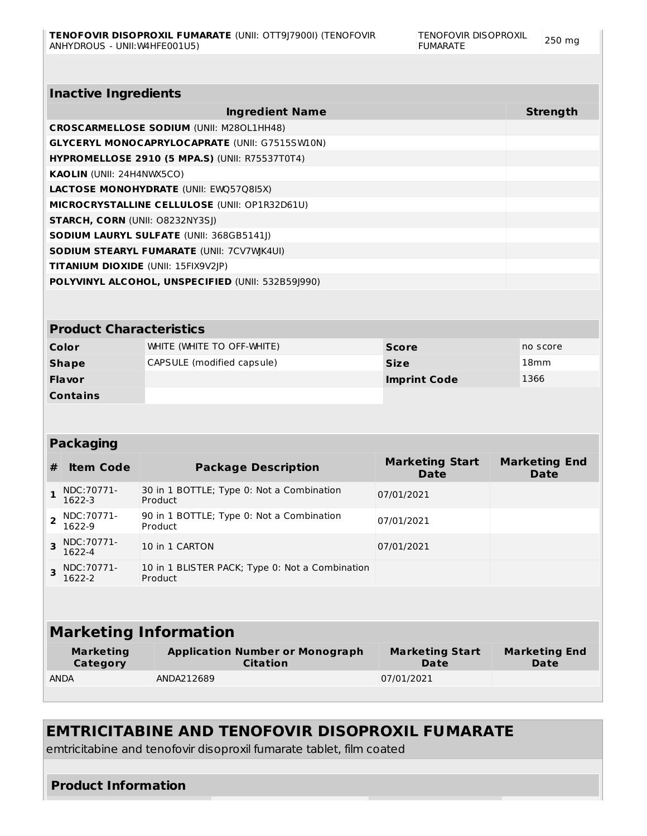| <b>Strength</b><br><b>Ingredient Name</b>     |                                                           |                                                            |                                       |  |                                     |  |  |  |
|-----------------------------------------------|-----------------------------------------------------------|------------------------------------------------------------|---------------------------------------|--|-------------------------------------|--|--|--|
|                                               |                                                           | <b>CROSCARMELLOSE SODIUM (UNII: M280L1HH48)</b>            |                                       |  |                                     |  |  |  |
|                                               |                                                           | <b>GLYCERYL MONOCAPRYLOCAPRATE (UNII: G7515SW10N)</b>      |                                       |  |                                     |  |  |  |
|                                               |                                                           | <b>HYPROMELLOSE 2910 (5 MPA.S) (UNII: R75537T0T4)</b>      |                                       |  |                                     |  |  |  |
|                                               | KAOLIN (UNII: 24H4NWX5CO)                                 |                                                            |                                       |  |                                     |  |  |  |
| LACTOSE MONOHYDRATE (UNII: EWQ57Q8I5X)        |                                                           |                                                            |                                       |  |                                     |  |  |  |
| MICROCRYSTALLINE CELLULOSE (UNII: OP1R32D61U) |                                                           |                                                            |                                       |  |                                     |  |  |  |
|                                               |                                                           | <b>STARCH, CORN (UNII: O8232NY3SJ)</b>                     |                                       |  |                                     |  |  |  |
|                                               |                                                           | SODIUM LAURYL SULFATE (UNII: 368GB5141J)                   |                                       |  |                                     |  |  |  |
|                                               |                                                           | <b>SODIUM STEARYL FUMARATE (UNII: 7CV7WK4UI)</b>           |                                       |  |                                     |  |  |  |
|                                               |                                                           | <b>TITANIUM DIOXIDE (UNII: 15FIX9V2JP)</b>                 |                                       |  |                                     |  |  |  |
|                                               |                                                           | POLYVINYL ALCOHOL, UNSPECIFIED (UNII: 532B59J990)          |                                       |  |                                     |  |  |  |
|                                               |                                                           |                                                            |                                       |  |                                     |  |  |  |
|                                               |                                                           |                                                            |                                       |  |                                     |  |  |  |
|                                               | <b>Product Characteristics</b>                            |                                                            |                                       |  |                                     |  |  |  |
|                                               | Color                                                     | WHITE (WHITE TO OFF-WHITE)                                 | <b>Score</b>                          |  | no score                            |  |  |  |
|                                               | CAPSULE (modified capsule)<br><b>Size</b><br><b>Shape</b> |                                                            | 18 <sub>mm</sub>                      |  |                                     |  |  |  |
|                                               | <b>Flavor</b>                                             |                                                            | 1366<br><b>Imprint Code</b>           |  |                                     |  |  |  |
|                                               |                                                           |                                                            |                                       |  |                                     |  |  |  |
|                                               | <b>Contains</b>                                           |                                                            |                                       |  |                                     |  |  |  |
|                                               |                                                           |                                                            |                                       |  |                                     |  |  |  |
|                                               |                                                           |                                                            |                                       |  |                                     |  |  |  |
|                                               | <b>Packaging</b>                                          |                                                            |                                       |  |                                     |  |  |  |
|                                               | <b>Item Code</b>                                          | <b>Package Description</b>                                 | <b>Marketing Start</b><br><b>Date</b> |  | <b>Marketing End</b><br><b>Date</b> |  |  |  |
| $\mathbf{1}$                                  | NDC:70771-<br>1622-3                                      | 30 in 1 BOTTLE; Type 0: Not a Combination<br>Product       | 07/01/2021                            |  |                                     |  |  |  |
| 2                                             | NDC: 70771-<br>1622-9                                     | 90 in 1 BOTTLE; Type 0: Not a Combination<br>Product       | 07/01/2021                            |  |                                     |  |  |  |
| 3                                             | NDC: 70771-<br>1622-4                                     | 10 in 1 CARTON                                             | 07/01/2021                            |  |                                     |  |  |  |
|                                               | NDC: 70771-<br>1622-2                                     | 10 in 1 BLISTER PACK; Type 0: Not a Combination<br>Product |                                       |  |                                     |  |  |  |
| 3                                             |                                                           |                                                            |                                       |  |                                     |  |  |  |
|                                               |                                                           | <b>Marketing Information</b>                               |                                       |  |                                     |  |  |  |
| #                                             | <b>Marketing</b><br>Category                              | <b>Application Number or Monograph</b><br><b>Citation</b>  | <b>Marketing Start</b><br><b>Date</b> |  | <b>Marketing End</b><br>Date        |  |  |  |

### **EMTRICITABINE AND TENOFOVIR DISOPROXIL FUMARATE**

emtricitabine and tenofovir disoproxil fumarate tablet, film coated

### **Product Information**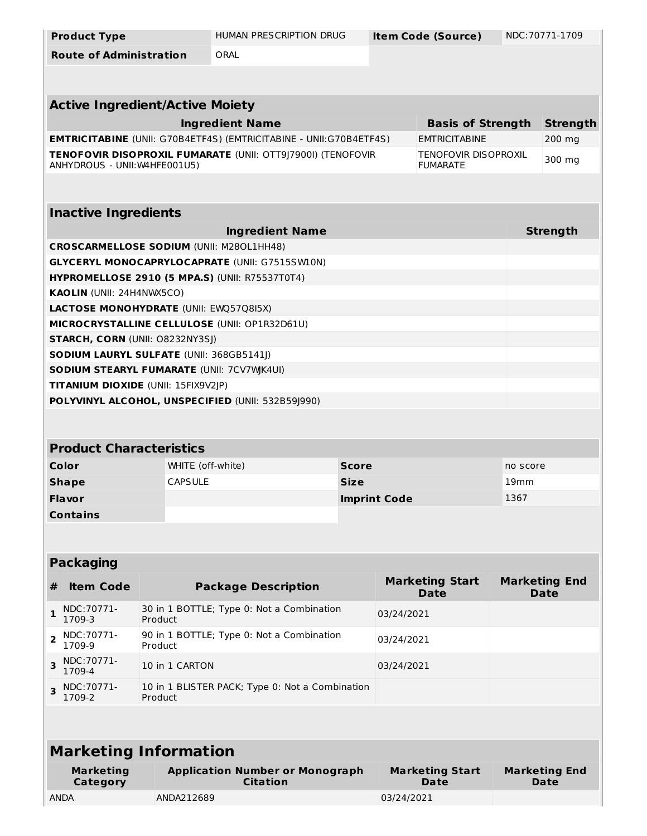| <b>Product Type</b>                                                                     |                   | HUMAN PRESCRIPTION DRUG                                                   | NDC: 70771-1709<br><b>Item Code (Source)</b> |                                                |                  |                                     |
|-----------------------------------------------------------------------------------------|-------------------|---------------------------------------------------------------------------|----------------------------------------------|------------------------------------------------|------------------|-------------------------------------|
| <b>Route of Administration</b>                                                          |                   | ORAL                                                                      |                                              |                                                |                  |                                     |
|                                                                                         |                   |                                                                           |                                              |                                                |                  |                                     |
|                                                                                         |                   |                                                                           |                                              |                                                |                  |                                     |
| <b>Active Ingredient/Active Moiety</b>                                                  |                   |                                                                           |                                              |                                                |                  |                                     |
|                                                                                         |                   | <b>Ingredient Name</b>                                                    |                                              | <b>Basis of Strength</b>                       |                  | <b>Strength</b>                     |
|                                                                                         |                   | <b>EMTRICITABINE</b> (UNII: G70B4ETF4S) (EMTRICITABINE - UNII:G70B4ETF4S) |                                              | <b>EMTRICITABINE</b>                           |                  | 200 mg                              |
| ANHYDROUS - UNII: W4HFE001U5)                                                           |                   | TENOFOVIR DISOPROXIL FUMARATE (UNII: OTT9J7900I) (TENOFOVIR               |                                              | <b>TENOFOVIR DISOPROXIL</b><br><b>FUMARATE</b> |                  | 300 mg                              |
|                                                                                         |                   |                                                                           |                                              |                                                |                  |                                     |
|                                                                                         |                   |                                                                           |                                              |                                                |                  |                                     |
| <b>Inactive Ingredients</b>                                                             |                   |                                                                           |                                              |                                                |                  |                                     |
|                                                                                         |                   | <b>Ingredient Name</b>                                                    |                                              |                                                |                  | <b>Strength</b>                     |
| <b>CROSCARMELLOSE SODIUM (UNII: M280L1HH48)</b>                                         |                   |                                                                           |                                              |                                                |                  |                                     |
|                                                                                         |                   | <b>GLYCERYL MONOCAPRYLOCAPRATE (UNII: G7515SW10N)</b>                     |                                              |                                                |                  |                                     |
|                                                                                         |                   | <b>HYPROMELLOSE 2910 (5 MPA.S) (UNII: R75537T0T4)</b>                     |                                              |                                                |                  |                                     |
| <b>KAOLIN (UNII: 24H4NWX5CO)</b>                                                        |                   |                                                                           |                                              |                                                |                  |                                     |
| LACTOSE MONOHYDRATE (UNII: EWQ57Q8I5X)                                                  |                   |                                                                           |                                              |                                                |                  |                                     |
|                                                                                         |                   | MICROCRYSTALLINE CELLULOSE (UNII: OP1R32D61U)                             |                                              |                                                |                  |                                     |
| <b>STARCH, CORN (UNII: 08232NY3SJ)</b>                                                  |                   |                                                                           |                                              |                                                |                  |                                     |
| <b>SODIUM LAURYL SULFATE (UNII: 368GB5141J)</b>                                         |                   |                                                                           |                                              |                                                |                  |                                     |
| <b>SODIUM STEARYL FUMARATE (UNII: 7CV7WK4UI)</b><br>TITANIUM DIOXIDE (UNII: 15FIX9V2JP) |                   |                                                                           |                                              |                                                |                  |                                     |
|                                                                                         |                   | POLYVINYL ALCOHOL, UNSPECIFIED (UNII: 532B59J990)                         |                                              |                                                |                  |                                     |
|                                                                                         |                   |                                                                           |                                              |                                                |                  |                                     |
|                                                                                         |                   |                                                                           |                                              |                                                |                  |                                     |
| <b>Product Characteristics</b>                                                          |                   |                                                                           |                                              |                                                |                  |                                     |
| Color                                                                                   | WHITE (off-white) |                                                                           | <b>Score</b>                                 |                                                | no score         |                                     |
| <b>Shape</b>                                                                            | <b>CAPSULE</b>    |                                                                           | <b>Size</b>                                  |                                                | 19 <sub>mm</sub> |                                     |
| <b>Flavor</b>                                                                           |                   |                                                                           | <b>Imprint Code</b>                          |                                                | 1367             |                                     |
| <b>Contains</b>                                                                         |                   |                                                                           |                                              |                                                |                  |                                     |
|                                                                                         |                   |                                                                           |                                              |                                                |                  |                                     |
|                                                                                         |                   |                                                                           |                                              |                                                |                  |                                     |
| <b>Packaging</b>                                                                        |                   |                                                                           |                                              |                                                |                  |                                     |
| <b>Item Code</b><br>#                                                                   |                   | <b>Package Description</b>                                                |                                              | <b>Marketing Start</b><br><b>Date</b>          |                  | <b>Marketing End</b><br><b>Date</b> |
| NDC: 70771-<br>1<br>1709-3                                                              | Product           | 30 in 1 BOTTLE; Type 0: Not a Combination                                 |                                              | 03/24/2021                                     |                  |                                     |
| NDC: 70771-<br>2<br>1709-9                                                              | Product           | 90 in 1 BOTTLE; Type 0: Not a Combination                                 |                                              | 03/24/2021                                     |                  |                                     |
| NDC: 70771-<br>3<br>1709-4                                                              | 10 in 1 CARTON    | 03/24/2021                                                                |                                              |                                                |                  |                                     |
| NDC: 70771-<br>3<br>1709-2                                                              | Product           | 10 in 1 BLISTER PACK; Type 0: Not a Combination                           |                                              |                                                |                  |                                     |
|                                                                                         |                   |                                                                           |                                              |                                                |                  |                                     |
| <b>Marketing Information</b>                                                            |                   |                                                                           |                                              |                                                |                  |                                     |
| <b>Marketing</b>                                                                        |                   | <b>Application Number or Monograph</b>                                    |                                              | <b>Marketing Start</b>                         |                  | <b>Marketing End</b>                |
|                                                                                         |                   |                                                                           |                                              |                                                |                  |                                     |
| Category                                                                                |                   | <b>Citation</b>                                                           |                                              | <b>Date</b>                                    |                  | <b>Date</b>                         |